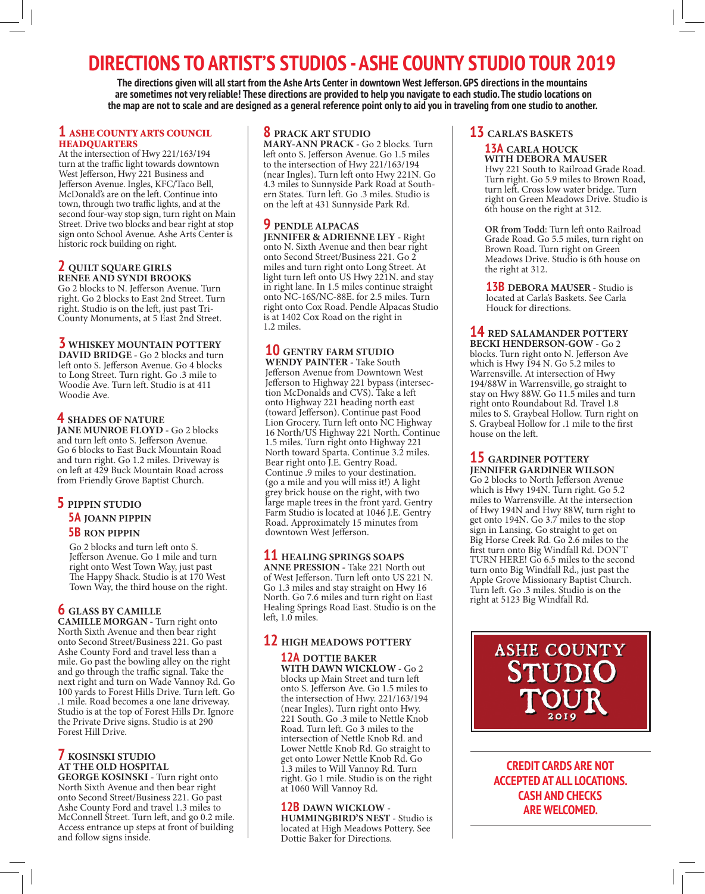# **DIRECTIONS TO ARTIST'S STUDIOS - ASHE COUNTY STUDIO TOUR 2019**

**The directions given will all start from the Ashe Arts Center in downtown West Jefferson. GPS directions in the mountains are sometimes not very reliable! These directions are provided to help you navigate to each studio. The studio locations on the map are not to scale and are designed as a general reference point only to aid you in traveling from one studio to another.**

#### **1** ASHE COUNTY ARTS COUNCIL **HEADQUARTERS**

At the intersection of Hwy 221/163/194 turn at the traffic light towards downtown West Jefferson, Hwy 221 Business and Jefferson Avenue. Ingles, KFC/Taco Bell, McDonald's are on the left. Continue into town, through two traffic lights, and at the second four-way stop sign, turn right on Main Street. Drive two blocks and bear right at stop sign onto School Avenue. Ashe Arts Center is historic rock building on right.

#### **2 QUILT SQUARE GIRLS RENEE AND SYNDI BROOKS**

Go 2 blocks to N. Jefferson Avenue. Turn right. Go 2 blocks to East 2nd Street. Turn right. Studio is on the left, just past Tri-County Monuments, at 5 East 2nd Street.

#### **3 WHISKEY MOUNTAIN POTTERY**

**DAVID BRIDGE -** Go 2 blocks and turn left onto S. Jefferson Avenue. Go 4 blocks to Long Street. Turn right. Go .3 mile to Woodie Ave. Turn left. Studio is at 411 Woodie Ave.

### **4 SHADES OF NATURE**

**JANE MUNROE FLOYD -** Go 2 blocks and turn left onto S. Jefferson Avenue. Go 6 blocks to East Buck Mountain Road and turn right. Go 1.2 miles. Driveway is on left at 429 Buck Mountain Road across from Friendly Grove Baptist Church.

## **5 PIPPIN STUDIO 5A JOANN PIPPIN**

#### **5B RON PIPPIN**

Go 2 blocks and turn left onto S. Jefferson Avenue. Go 1 mile and turn right onto West Town Way, just past The Happy Shack. Studio is at 170 West Town Way, the third house on the right.

# **6 GLASS BY CAMILLE**

**CAMILLE MORGAN -** Turn right onto North Sixth Avenue and then bear right onto Second Street/Business 221. Go past Ashe County Ford and travel less than a mile. Go past the bowling alley on the right and go through the traffic signal. Take the next right and turn on Wade Vannoy Rd. Go 100 yards to Forest Hills Drive. Turn left. Go .1 mile. Road becomes a one lane driveway. Studio is at the top of Forest Hills Dr. Ignore the Private Drive signs. Studio is at 290 Forest Hill Drive.

## **7 KOSINSKI STUDIO AT THE OLD HOSPITAL**

**GEORGE KOSINSKI - Turn right onto** North Sixth Avenue and then bear right onto Second Street/Business 221. Go past Ashe County Ford and travel 1.3 miles to McConnell Street. Turn left, and go 0.2 mile. Access entrance up steps at front of building and follow signs inside.

#### **8 PRACK ART STUDIO**

**MARY-ANN PRACK -** Go 2 blocks. Turn left onto S. Jefferson Avenue. Go 1.5 miles to the intersection of Hwy 221/163/194 (near Ingles). Turn left onto Hwy 221N. Go ern States. Turn left. Go .3 miles. Studio is on the left at 431 Sunnyside Park Rd.

## **9 PENDLE ALPACAS**

**JENNIFER & ADRIENNE LEY -** Right onto N. Sixth Avenue and then bear right onto Second Street/Business 221. Go 2 miles and turn right onto Long Street. At light turn left onto US Hwy 221N. and stay in right lane. In 1.5 miles continue straight onto NC-16S/NC-88E. for 2.5 miles. Turn right onto Cox Road. Pendle Alpacas Studio is at 1402 Cox Road on the right in 1.2 miles.

#### **10 GENTRY FARM STUDIO WENDY PAINTER -** Take South

Jefferson Avenue from Downtown West Jefferson to Highway 221 bypass (intersection McDonalds and CVS). Take a left onto Highway 221 heading north east (toward Jefferson). Continue past Food Lion Grocery. Turn left onto NC Highway 16 North/US Highway 221 North. Continue 1.5 miles. Turn right onto Highway 221 North toward Sparta. Continue 3.2 miles. Bear right onto J.E. Gentry Road. Continue .9 miles to your destination. (go a mile and you will miss it!) A light grey brick house on the right, with two large maple trees in the front yard. Gentry Farm Studio is located at 1046 J.E. Gentry Road. Approximately 15 minutes from downtown West Jefferson.

**11 HEALING SPRINGS SOAPS ANNE PRESSION -** Take 221 North out of West Jefferson. Turn left onto US 221 N. Go 1.3 miles and stay straight on Hwy 16 North. Go 7.6 miles and turn right on East Healing Springs Road East. Studio is on the left, 1.0 miles.

## **12 HIGH MEADOWS POTTERY**

#### **12A DOTTIE BAKER WITH DAWN WICKLOW -** Go 2

blocks up Main Street and turn left onto S. Jefferson Ave. Go 1.5 miles to the intersection of Hwy. 221/163/194 (near Ingles). Turn right onto Hwy. 221 South. Go .3 mile to Nettle Knob Road. Turn left. Go 3 miles to the intersection of Nettle Knob Rd. and Lower Nettle Knob Rd. Go straight to get onto Lower Nettle Knob Rd. Go 1.3 miles to Will Vannoy Rd. Turn right. Go 1 mile. Studio is on the right at 1060 Will Vannoy Rd.

#### **12B DAWN WICKLOW -**

**HUMMINGBIRD'S NEST** - Studio is located at High Meadows Pottery. See Dottie Baker for Directions.

#### **13 CARLA'S BASKETS**

**13A CARLA HOUCK WITH DEBORA MAUSER** Hwy 221 South to Railroad Grade Road. Turn right. Go 5.9 miles to Brown Road, turn left. Cross low water bridge. Turn right on Green Meadows Drive. Studio is 6th house on the right at 312.

**OR from Todd**: Turn left onto Railroad Grade Road. Go 5.5 miles, turn right on Brown Road. Turn right on Green Meadows Drive. Studio is 6th house on the right at 312.

**13B DEBORA MAUSER -** Studio is located at Carla's Baskets. See Carla Houck for directions.

## **14 RED SALAMANDER POTTERY**

**BECKI HENDERSON-GOW -** Go 2 blocks. Turn right onto N. Jefferson Ave which is Hwy 194 N. Go 5.2 miles to Warrensville. At intersection of Hwy 194/88W in Warrensville, go straight to stay on Hwy 88W. Go 11.5 miles and turn right onto Roundabout Rd. Travel 1.8 miles to S. Graybeal Hollow. Turn right on S. Graybeal Hollow for .1 mile to the first house on the left.

**15 GARDINER POTTERY JENNIFER GARDINER WILSON**

Go 2 blocks to North Jefferson Avenue which is Hwy 194N. Turn right. Go 5.2 miles to Warrensville. At the intersection of Hwy 194N and Hwy 88W, turn right to get onto 194N. Go 3.7 miles to the stop sign in Lansing. Go straight to get on Big Horse Creek Rd. Go 2.6 miles to the first turn onto Big Windfall Rd. DON'T TURN HERE! Go 6.5 miles to the second turn onto Big Windfall Rd., just past the Apple Grove Missionary Baptist Church. Turn left. Go .3 miles. Studio is on the right at 5123 Big Windfall Rd.



**CREDIT CARDS ARE NOT ACCEPTED AT ALL LOCATIONS. CASH AND CHECKS ARE WELCOMED.**